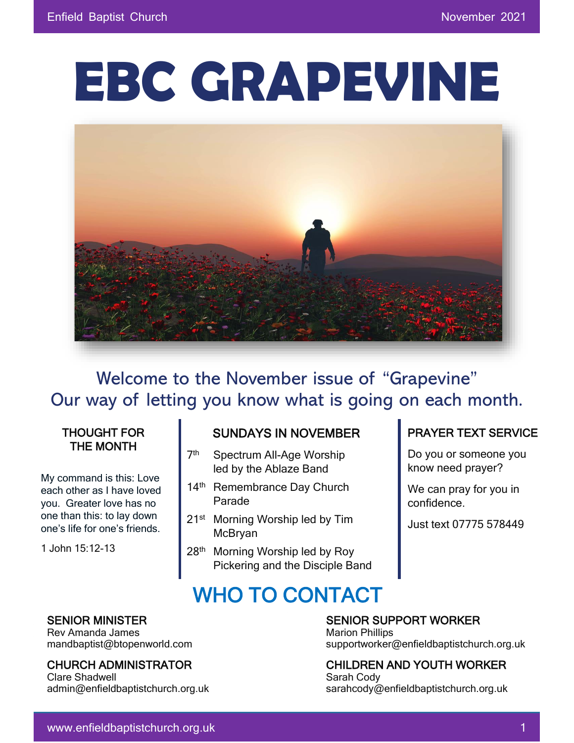# **EBC GRAPEVINE**



Welcome to the November issue of "Grapevine" Our way of letting you know what is going on each month.

#### THOUGHT FOR THE MONTH

My command is this: Love each other as I have loved you. Greater love has no one than this: to lay down one's life for one's friends.

1 John 15:12-13

#### SUNDAYS IN NOVEMBER

- $7<sup>th</sup>$ Spectrum All-Age Worship led by the Ablaze Band
- 14<sup>th</sup> Remembrance Day Church Parade
- 21<sup>st</sup> Morning Worship led by Tim McBryan
- 28<sup>th</sup> Morning Worship led by Roy Pickering and the Disciple Band

WHO TO CONTACT

#### PRAYER TEXT SERVICE

Do you or someone you know need prayer?

We can pray for you in confidence.

Just text 07775 578449

Rev Amanda James Marion Phillips and Marion Phillips and Marion Phillips

Clare Shadwell **Sarah Cody** Sarah Cody admin@enfieldbaptistchurch.org.uk sarahcody@enfieldbaptistchurch.org.uk

SENIOR MINISTER SENIOR SUPPORT WORKER

mandbaptist@btopenworld.com supportworker@enfieldbaptistchurch.org.uk

CHURCH ADMINISTRATOR CHILDREN AND YOUTH WORKER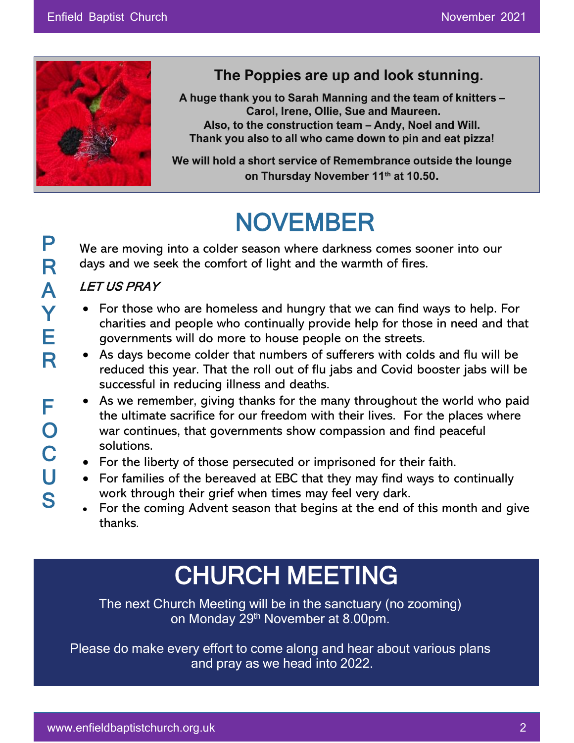

### **The Poppies are up and look stunning.**

**A huge thank you to Sarah Manning and the team of knitters – Carol, Irene, Ollie, Sue and Maureen. Also, to the construction team – Andy, Noel and Will. Thank you also to all who came down to pin and eat pizza!**

**We will hold a short service of Remembrance outside the lounge on Thursday November 11th at 10.50.**

# NOVEMBER

We are moving into a colder season where darkness comes sooner into our days and we seek the comfort of light and the warmth of fires.

#### LET US PRAY

- For those who are homeless and hungry that we can find ways to help. For charities and people who continually provide help for those in need and that governments will do more to house people on the streets.
- As days become colder that numbers of sufferers with colds and flu will be reduced this year. That the roll out of flu jabs and Covid booster jabs will be successful in reducing illness and deaths.
- As we remember, giving thanks for the many throughout the world who paid the ultimate sacrifice for our freedom with their lives. For the places where war continues, that governments show compassion and find peaceful solutions.
- For the liberty of those persecuted or imprisoned for their faith.
- For families of the bereaved at EBC that they may find ways to continually work through their grief when times may feel very dark.
- For the coming Advent season that begins at the end of this month and give thanks.

# CHURCH MEETING

The next Church Meeting will be in the sanctuary (no zooming) on Monday 29th November at 8.00pm.

Please do make every effort to come along and hear about various plans and pray as we head into 2022.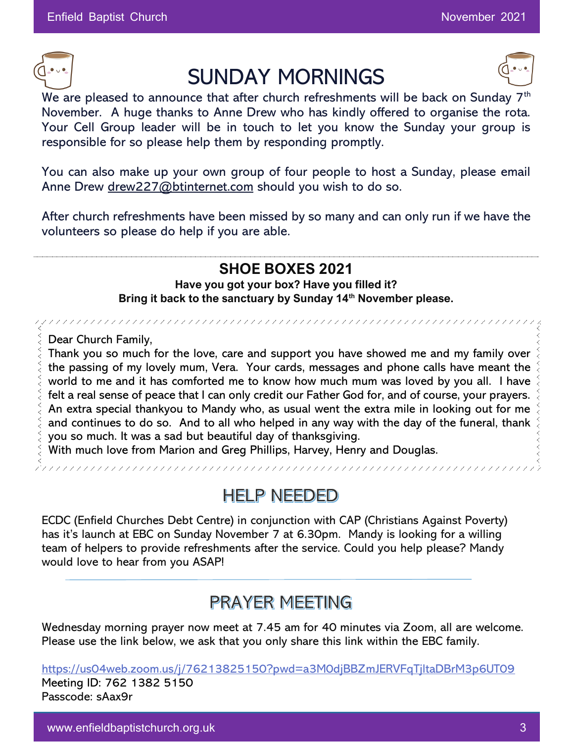

# SUNDAY MORNINGS



We are pleased to announce that after church refreshments will be back on Sunday 7<sup>th</sup> November. A huge thanks to Anne Drew who has kindly offered to organise the rota. Your Cell Group leader will be in touch to let you know the Sunday your group is responsible for so please help them by responding promptly.

You can also make up your own group of four people to host a Sunday, please email Anne Drew [drew227@btinternet.com](mailto:drew227@btinternet.com) should you wish to do so.

After church refreshments have been missed by so many and can only run if we have the volunteers so please do help if you are able.

#### **SHOE BOXES 2021**

**Have you got your box? Have you filled it? Bring it back to the sanctuary by Sunday 14th November please.**

Dear Church Family,

**#** Thank you so much for the love, care and support you have showed me and my family over the passing of my lovely mum, Vera. Your cards, messages and phone calls have meant the world to me and it has comforted me to know how much mum was loved by you all. I have felt a real sense of peace that I can only credit our Father God for, and of course, your prayers. An extra special thankyou to Mandy who, as usual went the extra mile in looking out for me and continues to do so. And to all who helped in any way with the day of the funeral, thank you so much. It was a sad but beautiful day of thanksgiving.

With much love from Marion and Greg Phillips, Harvey, Henry and Douglas.

**HELP NEEDED** 

**Bring it back to the sanctuary by Sunday 14th November please.**

ECDC (Enfield Churches Debt Centre) in conjunction with CAP (Christians Against Poverty) has it's launch at EBC on Sunday November 7 at 6.30pm. Mandy is looking for a willing team of helpers to provide refreshments after the service. Could you help please? Mandy would love to hear from you ASAP!

### **PRAYER MEETING**

Wednesday morning prayer now meet at 7.45 am for 40 minutes via Zoom, all are welcome. Please use the link below, we ask that you only share this link within the EBC family.

<https://us04web.zoom.us/j/76213825150?pwd=a3M0djBBZmJERVFqTjltaDBrM3p6UT09> Meeting ID: 762 1382 5150 Passcode: sAax9r

www.enfieldbaptistchurch.org.uk 3